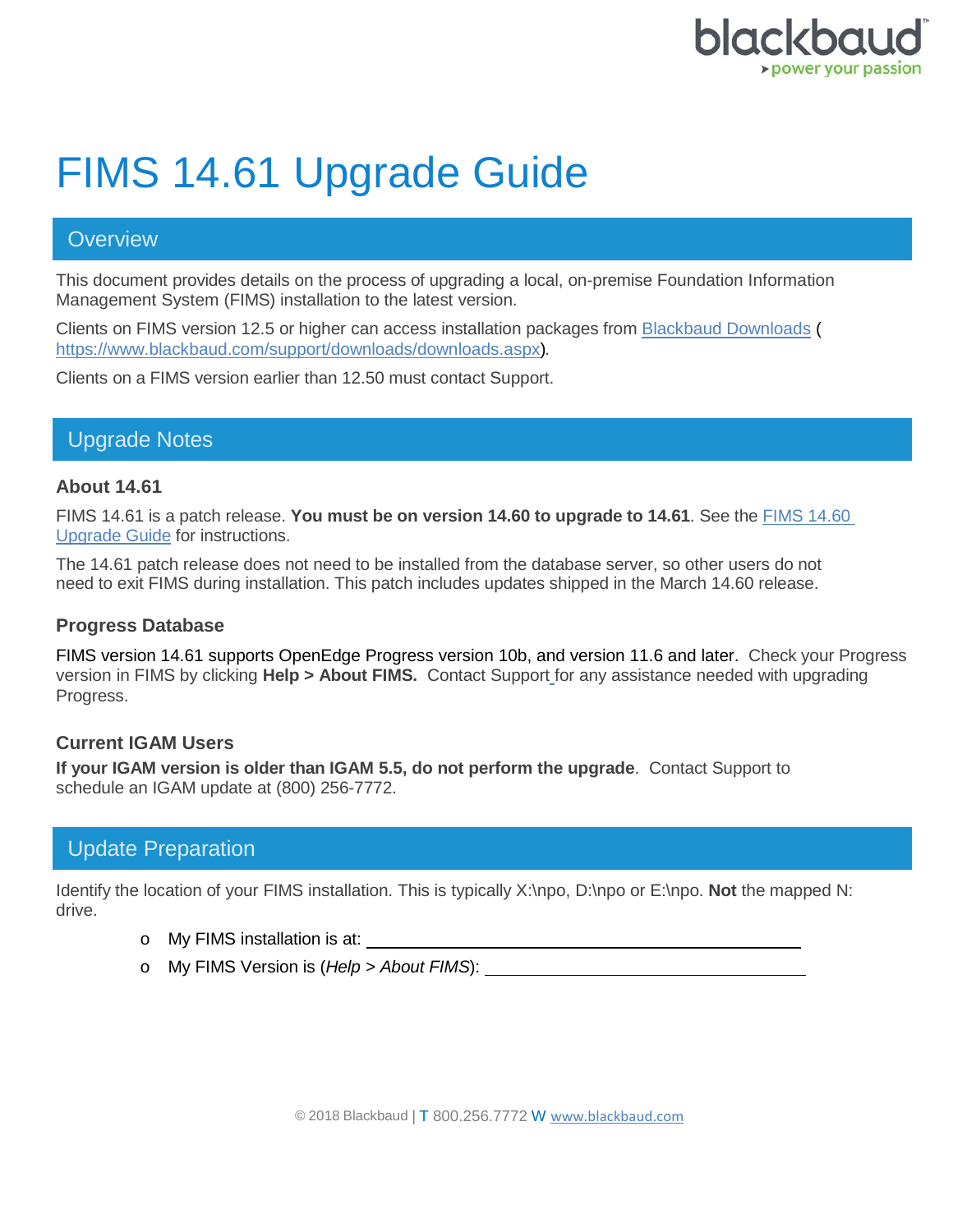

# FIMS 14.61 Upgrade Guide

#### **Overview**

This document provides details on the process of upgrading a local, on-premise Foundation Information Management System (FIMS) installation to the latest version.

Clients on FIMS version 12.5 or higher can access installation packages from [Blackbaud Downloads](https://www.blackbaud.com/support/downloads/downloads.aspx) ( [https://www.blackbaud.com/support/downloads/downloads.aspx\)](https://www.blackbaud.com/support/downloads/downloads.aspx).

Clients on a FIMS version earlier than 12.50 must contact Support.

## Upgrade Notes

#### **About 14.61**

FIMS 14.61 is a patch release. **You must be on version 14.60 to upgrade to 14.61**. See the [FIMS 14.60](https://www.blackbaud.com/files/support/guides/microedge/fims/fims_1460upgradeguide.pdf)  [Upgrade Guide](https://www.blackbaud.com/files/support/guides/microedge/fims/fims_1460upgradeguide.pdf) for instructions.

The 14.61 patch release does not need to be installed from the database server, so other users do not need to exit FIMS during installation. This patch includes updates shipped in the March 14.60 release.

#### **Progress Database**

FIMS version 14.61 supports OpenEdge Progress version 10b, and version 11.6 and later. Check your Progress version in FIMS by clicking **Help > About FIMS.** Contact Support for any assistance needed with upgrading Progress.

#### **Current IGAM Users**

**If your IGAM version is older than IGAM 5.5, do not perform the upgrade**. Contact Support to schedule an IGAM update at (800) 256-7772.

## Update Preparation

Identify the location of your FIMS installation. This is typically X:\npo, D:\npo or E:\npo. **Not** the mapped N: drive.

- o My FIMS installation is at:
- o My FIMS Version is (*Help > About FIMS*):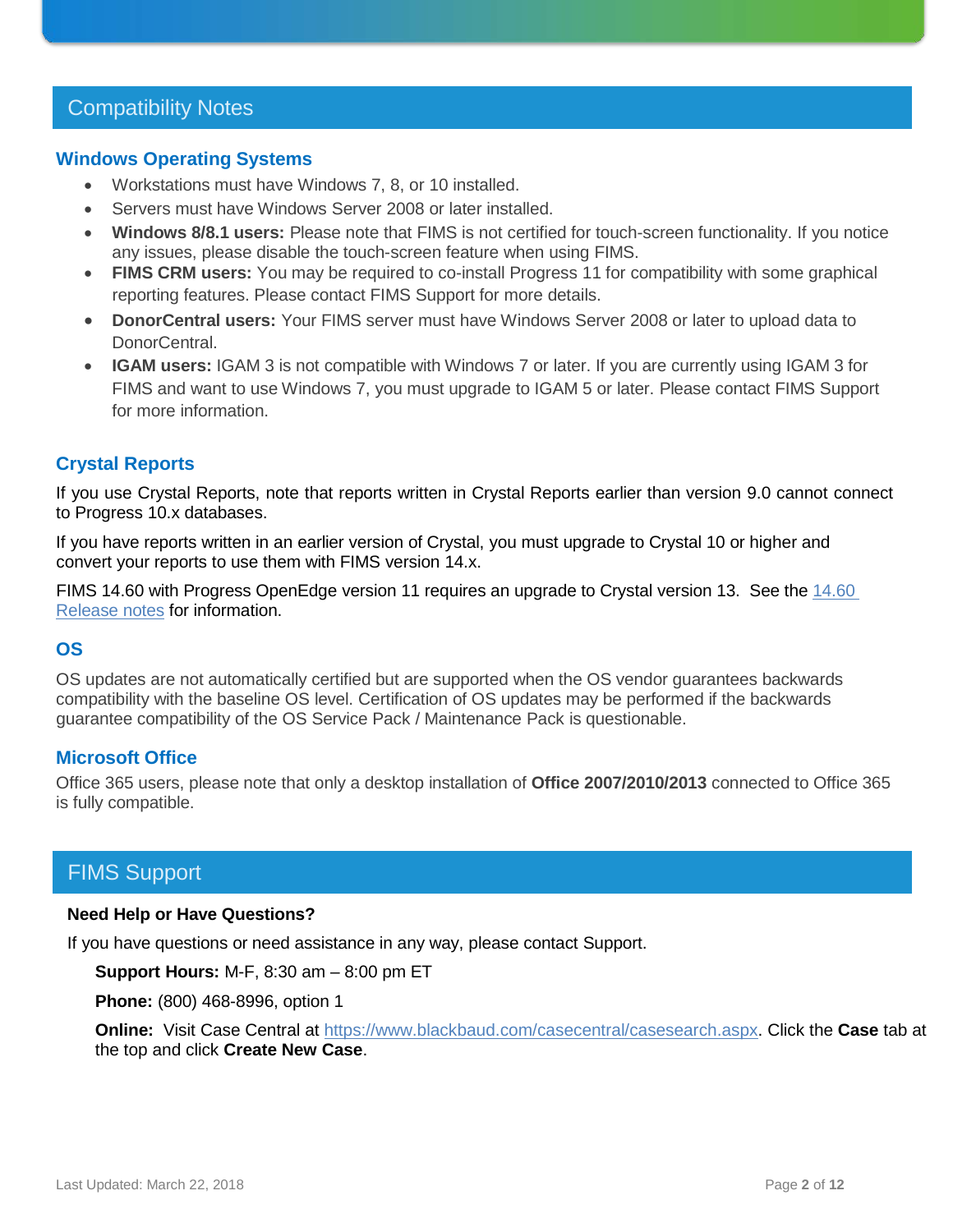## Compatibility Notes

#### **Windows Operating Systems**

- Workstations must have Windows 7, 8, or 10 installed.
- Servers must have Windows Server 2008 or later installed.
- **Windows 8/8.1 users:** Please note that FIMS is not certified for touch-screen functionality. If you notice any issues, please disable the touch-screen feature when using FIMS.
- **FIMS CRM users:** You may be required to co-install Progress 11 for compatibility with some graphical reporting features. Please contact FIMS Support for more details.
- **DonorCentral users:** Your FIMS server must have Windows Server 2008 or later to upload data to DonorCentral.
- **IGAM users:** IGAM 3 is not compatible with Windows 7 or later. If you are currently using IGAM 3 for FIMS and want to use Windows 7, you must upgrade to IGAM 5 or later. Please contact FIMS Support for more information.

#### **Crystal Reports**

If you use Crystal Reports, note that reports written in Crystal Reports earlier than version 9.0 cannot connect to Progress 10.x databases.

If you have reports written in an earlier version of Crystal, you must upgrade to Crystal 10 or higher and convert your reports to use them with FIMS version 14.x.

FIMS 14.60 with Progress OpenEdge version 11 requires an upgrade to Crystal version 13. See the [14.60](https://www.blackbaud.com/files/support/guides/microedge/fims/fims_releasenotes.pdf) [Release notes](https://www.blackbaud.com/files/support/guides/microedge/fims/fims_releasenotes.pdf) for information.

#### **OS**

OS updates are not automatically certified but are supported when the OS vendor guarantees backwards compatibility with the baseline OS level. Certification of OS updates may be performed if the backwards guarantee compatibility of the OS Service Pack / Maintenance Pack is questionable.

#### **Microsoft Office**

Office 365 users, please note that only a desktop installation of **Office 2007/2010/2013** connected to Office 365 is fully compatible.

## FIMS Support

#### **Need Help or Have Questions?**

If you have questions or need assistance in any way, please contact Support.

**Support Hours:** M-F, 8:30 am – 8:00 pm ET

**Phone:** (800) 468-8996, option 1

**Online:** Visit Case Central at [https://www.blackbaud.com/casecentral/casesearch.aspx.](https://www.blackbaud.com/casecentral/casesearch.aspx) Click the **Case** tab at the top and click **Create New Case**.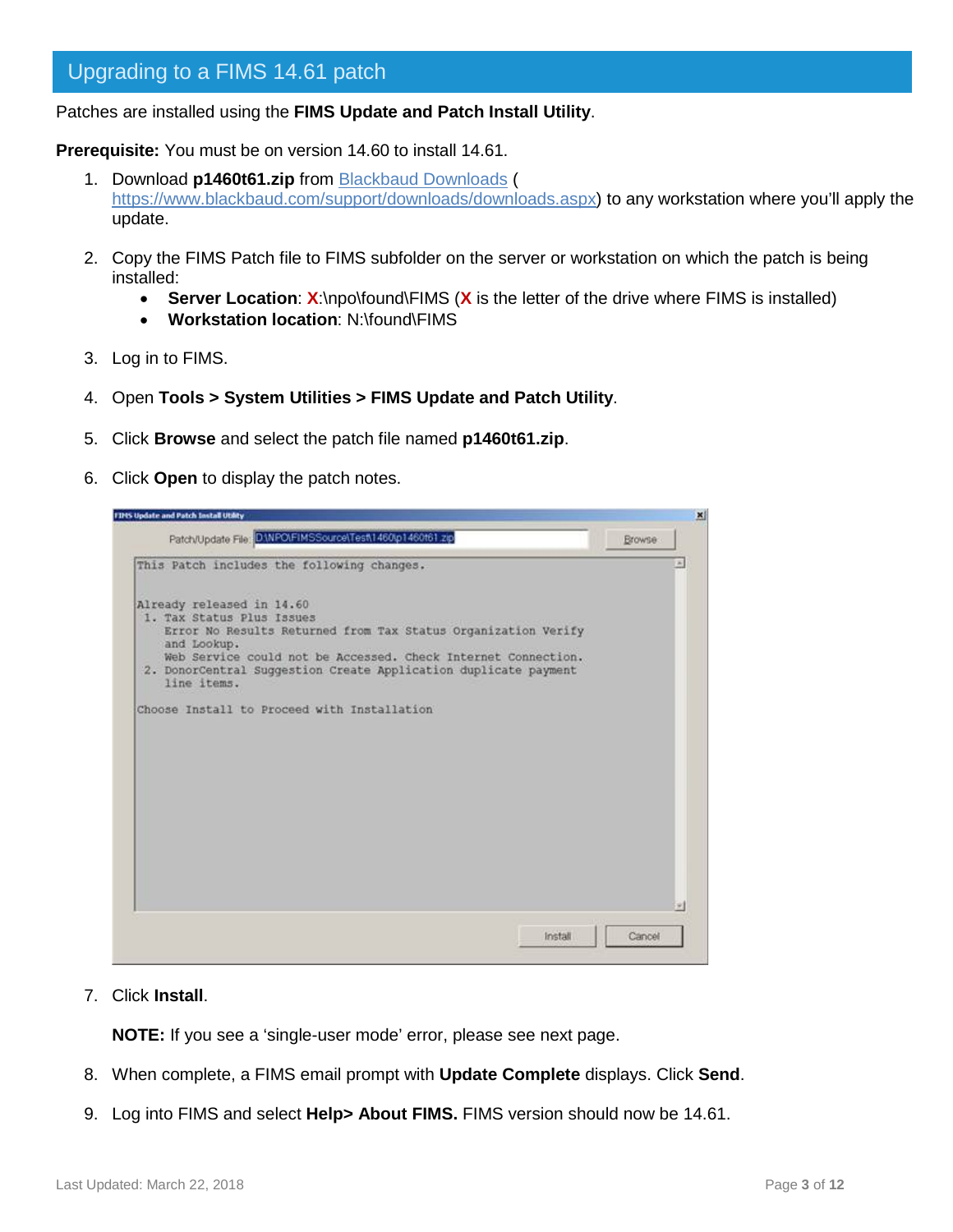Patches are installed using the **FIMS Update and Patch Install Utility**.

**Prerequisite:** You must be on version 14.60 to install 14.61.

- 1. Download **p1460t61.zip** from [Blackbaud Downloads](https://www.blackbaud.com/support/downloads/downloads.aspx) ( [https://www.blackbaud.com/support/downloads/downloads.aspx\)](https://www.blackbaud.com/support/downloads/downloads.aspx) to any workstation where you'll apply the update.
- 2. Copy the FIMS Patch file to FIMS subfolder on the server or workstation on which the patch is being installed:
	- **Server Location**: **X**:\npo\found\FIMS (**X** is the letter of the drive where FIMS is installed)
	- **Workstation location**: N:\found\FIMS
- 3. Log in to FIMS.
- 4. Open **Tools > System Utilities > FIMS Update and Patch Utility**.
- 5. Click **Browse** and select the patch file named **p1460t61.zip**.
- 6. Click **Open** to display the patch notes.



7. Click **Install**.

**NOTE:** If you see a 'single-user mode' error, please see next page.

- 8. When complete, a FIMS email prompt with **Update Complete** displays. Click **Send**.
- 9. Log into FIMS and select **Help> About FIMS.** FIMS version should now be 14.61.